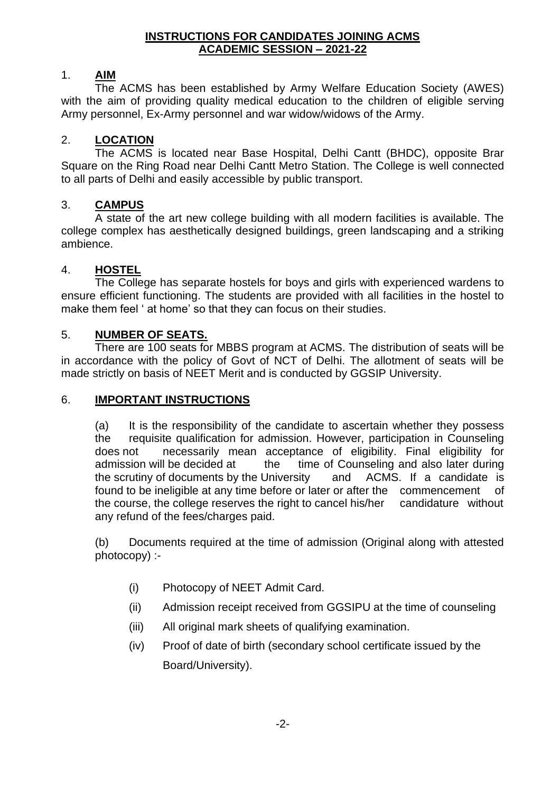#### **INSTRUCTIONS FOR CANDIDATES JOINING ACMS ACADEMIC SESSION – 2021-22**

### 1. **AIM**

The ACMS has been established by Army Welfare Education Society (AWES) with the aim of providing quality medical education to the children of eligible serving Army personnel, Ex-Army personnel and war widow/widows of the Army.

### 2. **LOCATION**

The ACMS is located near Base Hospital, Delhi Cantt (BHDC), opposite Brar Square on the Ring Road near Delhi Cantt Metro Station. The College is well connected to all parts of Delhi and easily accessible by public transport.

### 3. **CAMPUS**

A state of the art new college building with all modern facilities is available. The college complex has aesthetically designed buildings, green landscaping and a striking ambience.

### 4. **HOSTEL**

The College has separate hostels for boys and girls with experienced wardens to ensure efficient functioning. The students are provided with all facilities in the hostel to make them feel ' at home' so that they can focus on their studies.

### 5. **NUMBER OF SEATS.**

There are 100 seats for MBBS program at ACMS. The distribution of seats will be in accordance with the policy of Govt of NCT of Delhi. The allotment of seats will be made strictly on basis of NEET Merit and is conducted by GGSIP University.

#### 6. **IMPORTANT INSTRUCTIONS**

(a) It is the responsibility of the candidate to ascertain whether they possess the requisite qualification for admission. However, participation in Counseling does not necessarily mean acceptance of eligibility. Final eligibility for admission will be decided at the time of Counseling and also later during the scrutiny of documents by the University and ACMS. If a candidate is found to be ineligible at any time before or later or after the commencement of the course, the college reserves the right to cancel his/her candidature without any refund of the fees/charges paid.

(b) Documents required at the time of admission (Original along with attested photocopy) :-

- (i) Photocopy of NEET Admit Card.
- (ii) Admission receipt received from GGSIPU at the time of counseling
- (iii) All original mark sheets of qualifying examination.
- (iv) Proof of date of birth (secondary school certificate issued by the Board/University).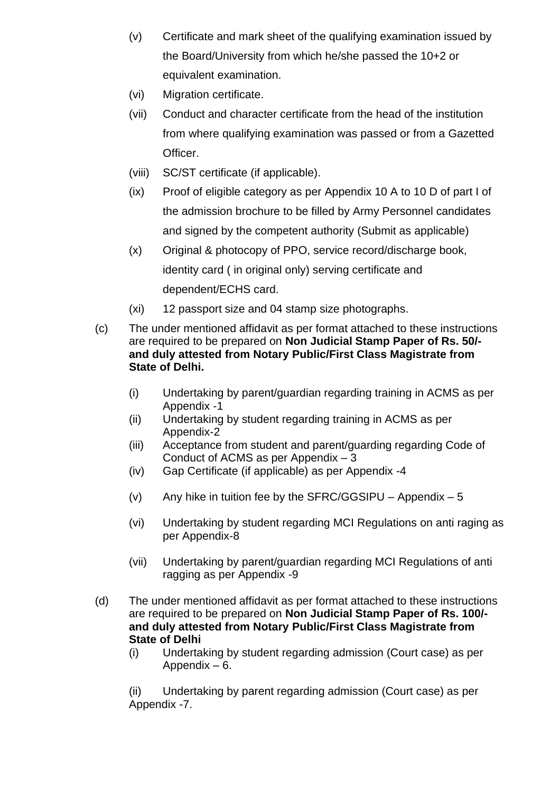- (v) Certificate and mark sheet of the qualifying examination issued by the Board/University from which he/she passed the 10+2 or equivalent examination.
- (vi) Migration certificate.
- (vii) Conduct and character certificate from the head of the institution from where qualifying examination was passed or from a Gazetted Officer.
- (viii) SC/ST certificate (if applicable).
- (ix) Proof of eligible category as per Appendix 10 A to 10 D of part I of the admission brochure to be filled by Army Personnel candidates and signed by the competent authority (Submit as applicable)
- (x) Original & photocopy of PPO, service record/discharge book, identity card ( in original only) serving certificate and dependent/ECHS card.
- (xi) 12 passport size and 04 stamp size photographs.
- (c) The under mentioned affidavit as per format attached to these instructions are required to be prepared on **Non Judicial Stamp Paper of Rs. 50/ and duly attested from Notary Public/First Class Magistrate from State of Delhi.** 
	- (i) Undertaking by parent/guardian regarding training in ACMS as per Appendix -1
	- (ii) Undertaking by student regarding training in ACMS as per Appendix-2
	- (iii) Acceptance from student and parent/guarding regarding Code of Conduct of ACMS as per Appendix – 3
	- (iv) Gap Certificate (if applicable) as per Appendix -4
	- (v) Any hike in tuition fee by the SFRC/GGSIPU Appendix  $-5$
	- (vi) Undertaking by student regarding MCI Regulations on anti raging as per Appendix-8
	- (vii) Undertaking by parent/guardian regarding MCI Regulations of anti ragging as per Appendix -9
- (d) The under mentioned affidavit as per format attached to these instructions are required to be prepared on **Non Judicial Stamp Paper of Rs. 100/ and duly attested from Notary Public/First Class Magistrate from State of Delhi**
	- (i) Undertaking by student regarding admission (Court case) as per Appendix – 6.

(ii) Undertaking by parent regarding admission (Court case) as per Appendix -7.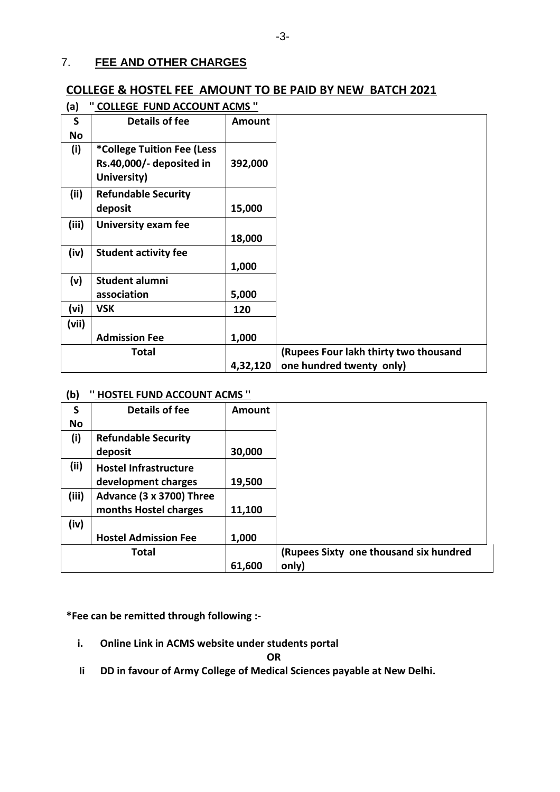### 7. **FEE AND OTHER CHARGES**

# **COLLEGE & HOSTEL FEE AMOUNT TO BE PAID BY NEW BATCH 2021**

| (a)       | <b>COLLEGE FUND ACCOUNT ACMS "</b> |               |                                       |
|-----------|------------------------------------|---------------|---------------------------------------|
| S         | Details of fee                     | <b>Amount</b> |                                       |
| <b>No</b> |                                    |               |                                       |
| (i)       | *College Tuition Fee (Less         |               |                                       |
|           | Rs.40,000/- deposited in           | 392,000       |                                       |
|           | University)                        |               |                                       |
| (ii)      | <b>Refundable Security</b>         |               |                                       |
|           | deposit                            | 15,000        |                                       |
| (iii)     | <b>University exam fee</b>         |               |                                       |
|           |                                    | 18,000        |                                       |
| (iv)      | <b>Student activity fee</b>        |               |                                       |
|           |                                    | 1,000         |                                       |
| (v)       | Student alumni                     |               |                                       |
|           | association                        | 5,000         |                                       |
| (vi)      | <b>VSK</b>                         | 120           |                                       |
| (vii)     |                                    |               |                                       |
|           | <b>Admission Fee</b>               | 1,000         |                                       |
|           | <b>Total</b>                       |               | (Rupees Four lakh thirty two thousand |
|           |                                    | 4,32,120      | one hundred twenty only)              |

## **(a) '' COLLEGE FUND ACCOUNT ACMS ''**

#### **(b) '' HOSTEL FUND ACCOUNT ACMS ''**

| $\sim$    |                              |               |                                        |
|-----------|------------------------------|---------------|----------------------------------------|
| S         | <b>Details of fee</b>        | <b>Amount</b> |                                        |
| <b>No</b> |                              |               |                                        |
| (i)       | <b>Refundable Security</b>   |               |                                        |
|           | deposit                      | 30,000        |                                        |
| (iii)     | <b>Hostel Infrastructure</b> |               |                                        |
|           | development charges          | 19,500        |                                        |
| (iii)     | Advance (3 x 3700) Three     |               |                                        |
|           | months Hostel charges        | 11,100        |                                        |
| (iv)      |                              |               |                                        |
|           | <b>Hostel Admission Fee</b>  | 1,000         |                                        |
|           | <b>Total</b>                 |               | (Rupees Sixty one thousand six hundred |
|           |                              | 61,600        | only)                                  |

**\*Fee can be remitted through following :-**

**i. Online Link in ACMS website under students portal**

**OR**

 **Ii DD in favour of Army College of Medical Sciences payable at New Delhi.**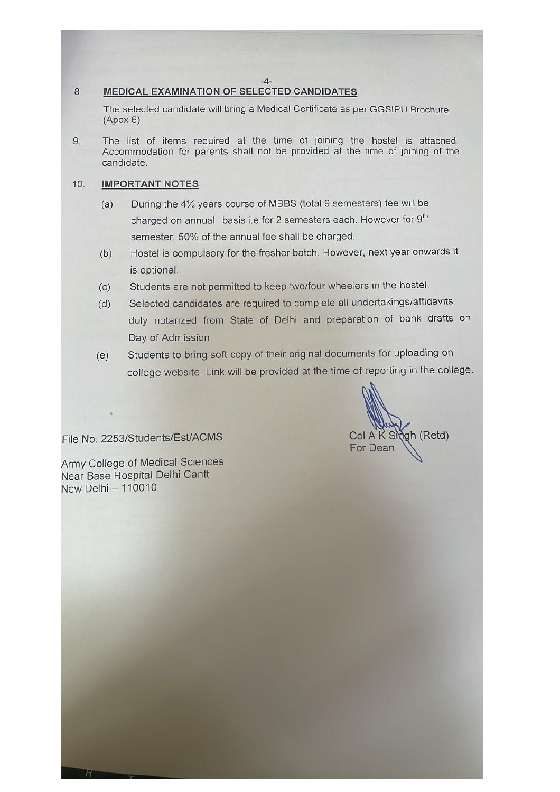#### $-4-$

#### 8. **MEDICAL EXAMINATION OF SELECTED CANDIDATES**

The selected candidate will bring a Medical Certificate as per GGSIPU Brochure  $(Appx 6)$ 

The list of items required at the time of joining the hostel is attached. 9. Accommodation for parents shall not be provided at the time of joining of the candidate.

#### $10.$ **IMPORTANT NOTES**

- During the 41/<sub>2</sub> years course of MBBS (total 9 semesters) fee will be  $(a)$ charged on annual basis i.e for 2 semesters each. However for 9<sup>th</sup> semester, 50% of the annual fee shall be charged.
- Hostel is compulsory for the fresher batch. However, next year onwards it  $(b)$ is optional.
- Students are not permitted to keep two/four wheelers in the hostel.  $(c)$
- Selected candidates are required to complete all undertakings/affidavits  $(d)$ duly notarized from State of Delhi and preparation of bank drafts on Day of Admission.
- Students to bring soft copy of their original documents for uploading on  $(e)$ college website. Link will be provided at the time of reporting in the college.

Col A K Smah (Retd) For Dean

File No. 2253/Students/Est/ACMS

Army College of Medical Sciences Near Base Hospital Delhi Cantt New Delhi - 110010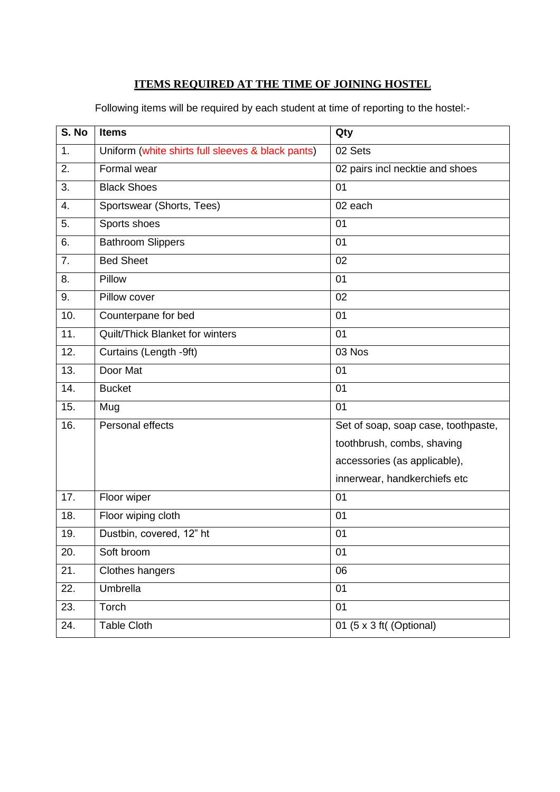# **ITEMS REQUIRED AT THE TIME OF JOINING HOSTEL**

Following items will be required by each student at time of reporting to the hostel:-

| S. No | <b>Items</b>                                      | Qty                                 |
|-------|---------------------------------------------------|-------------------------------------|
| 1.    | Uniform (white shirts full sleeves & black pants) | 02 Sets                             |
| 2.    | Formal wear                                       | 02 pairs incl necktie and shoes     |
| 3.    | <b>Black Shoes</b>                                | 01                                  |
| 4.    | Sportswear (Shorts, Tees)                         | 02 each                             |
| 5.    | Sports shoes                                      | 01                                  |
| 6.    | <b>Bathroom Slippers</b>                          | 01                                  |
| 7.    | <b>Bed Sheet</b>                                  | 02                                  |
| 8.    | Pillow                                            | 01                                  |
| 9.    | Pillow cover                                      | 02                                  |
| 10.   | Counterpane for bed                               | 01                                  |
| 11.   | Quilt/Thick Blanket for winters                   | 01                                  |
| 12.   | Curtains (Length -9ft)                            | 03 Nos                              |
| 13.   | Door Mat                                          | 01                                  |
| 14.   | <b>Bucket</b>                                     | 01                                  |
| 15.   | Mug                                               | 01                                  |
| 16.   | Personal effects                                  | Set of soap, soap case, toothpaste, |
|       |                                                   | toothbrush, combs, shaving          |
|       |                                                   | accessories (as applicable),        |
|       |                                                   | innerwear, handkerchiefs etc        |
| 17.   | Floor wiper                                       | 01                                  |
| 18.   | Floor wiping cloth                                | 01                                  |
| 19.   | Dustbin, covered, 12" ht                          | 01                                  |
| 20.   | Soft broom                                        | 01                                  |
| 21.   | Clothes hangers                                   | 06                                  |
| 22.   | Umbrella                                          | 01                                  |
| 23.   | Torch                                             | 01                                  |
| 24.   | <b>Table Cloth</b>                                | 01 (5 x 3 ft( (Optional)            |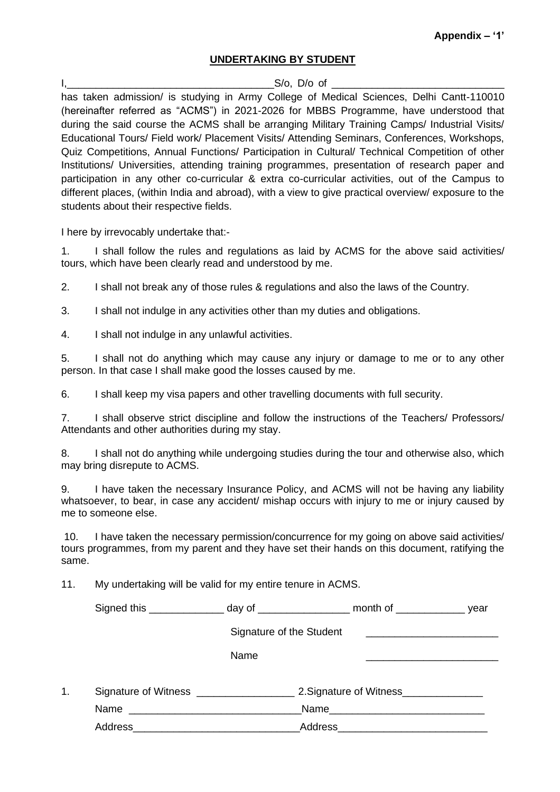#### **UNDERTAKING BY STUDENT**

 $I,$ has taken admission/ is studying in Army College of Medical Sciences, Delhi Cantt-110010 (hereinafter referred as "ACMS") in 2021-2026 for MBBS Programme, have understood that during the said course the ACMS shall be arranging Military Training Camps/ Industrial Visits/ Educational Tours/ Field work/ Placement Visits/ Attending Seminars, Conferences, Workshops, Quiz Competitions, Annual Functions/ Participation in Cultural/ Technical Competition of other Institutions/ Universities, attending training programmes, presentation of research paper and participation in any other co-curricular & extra co-curricular activities, out of the Campus to different places, (within India and abroad), with a view to give practical overview/ exposure to the students about their respective fields.

I here by irrevocably undertake that:-

1. I shall follow the rules and regulations as laid by ACMS for the above said activities/ tours, which have been clearly read and understood by me.

2. I shall not break any of those rules & regulations and also the laws of the Country.

3. I shall not indulge in any activities other than my duties and obligations.

4. I shall not indulge in any unlawful activities.

5. I shall not do anything which may cause any injury or damage to me or to any other person. In that case I shall make good the losses caused by me.

6. I shall keep my visa papers and other travelling documents with full security.

7. I shall observe strict discipline and follow the instructions of the Teachers/ Professors/ Attendants and other authorities during my stay.

8. I shall not do anything while undergoing studies during the tour and otherwise also, which may bring disrepute to ACMS.

9. I have taken the necessary Insurance Policy, and ACMS will not be having any liability whatsoever, to bear, in case any accident/ mishap occurs with injury to me or injury caused by me to someone else.

10. I have taken the necessary permission/concurrence for my going on above said activities/ tours programmes, from my parent and they have set their hands on this document, ratifying the same.

11. My undertaking will be valid for my entire tenure in ACMS.

|    | Signed this _________________ day of _____________________ month of __________________ year                                                                                                                                    |                          |      |  |
|----|--------------------------------------------------------------------------------------------------------------------------------------------------------------------------------------------------------------------------------|--------------------------|------|--|
|    |                                                                                                                                                                                                                                | Signature of the Student |      |  |
|    |                                                                                                                                                                                                                                | Name                     |      |  |
| 1. |                                                                                                                                                                                                                                |                          |      |  |
|    |                                                                                                                                                                                                                                |                          | Name |  |
|    | Address and the contract of the contract of the contract of the contract of the contract of the contract of the contract of the contract of the contract of the contract of the contract of the contract of the contract of th |                          |      |  |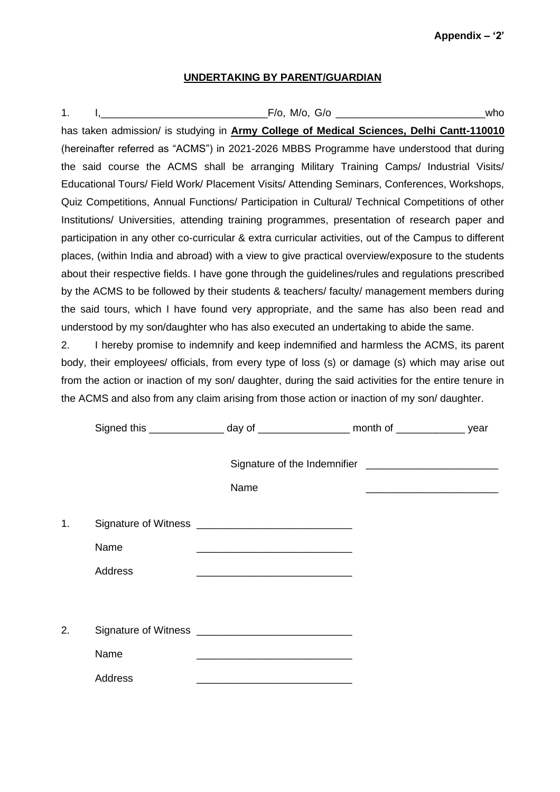#### **UNDERTAKING BY PARENT/GUARDIAN**

1. I,\_\_\_\_\_\_\_\_\_\_\_\_\_\_\_\_\_\_\_\_\_\_\_\_\_\_\_\_\_F/o, M/o, G/o \_\_\_\_\_\_\_\_\_\_\_\_\_\_\_\_\_\_\_\_\_\_\_\_\_\_who has taken admission/ is studying in **Army College of Medical Sciences, Delhi Cantt-110010**  (hereinafter referred as "ACMS") in 2021-2026 MBBS Programme have understood that during the said course the ACMS shall be arranging Military Training Camps/ Industrial Visits/ Educational Tours/ Field Work/ Placement Visits/ Attending Seminars, Conferences, Workshops, Quiz Competitions, Annual Functions/ Participation in Cultural/ Technical Competitions of other Institutions/ Universities, attending training programmes, presentation of research paper and participation in any other co-curricular & extra curricular activities, out of the Campus to different places, (within India and abroad) with a view to give practical overview/exposure to the students about their respective fields. I have gone through the guidelines/rules and regulations prescribed by the ACMS to be followed by their students & teachers/ faculty/ management members during the said tours, which I have found very appropriate, and the same has also been read and understood by my son/daughter who has also executed an undertaking to abide the same.

2. I hereby promise to indemnify and keep indemnified and harmless the ACMS, its parent body, their employees/ officials, from every type of loss (s) or damage (s) which may arise out from the action or inaction of my son/ daughter, during the said activities for the entire tenure in the ACMS and also from any claim arising from those action or inaction of my son/ daughter.

|    |                |      | Signed this _________________ day of ____________________ month of _________________ year |  |
|----|----------------|------|-------------------------------------------------------------------------------------------|--|
|    |                |      |                                                                                           |  |
|    |                | Name |                                                                                           |  |
| 1. |                |      |                                                                                           |  |
|    | Name           |      |                                                                                           |  |
|    | <b>Address</b> |      |                                                                                           |  |
|    |                |      |                                                                                           |  |
| 2. |                |      |                                                                                           |  |
|    | Name           |      |                                                                                           |  |
|    | <b>Address</b> |      |                                                                                           |  |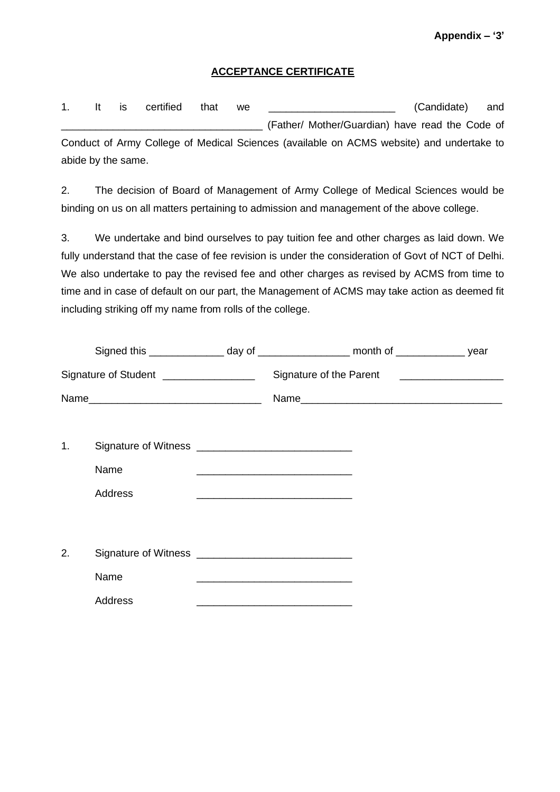#### **ACCEPTANCE CERTIFICATE**

1. It is certified that we **with the set of the set of the condidate**) and \_\_\_\_\_\_\_\_\_\_\_\_\_\_\_\_\_\_\_\_\_\_\_\_\_\_\_\_\_\_\_\_\_\_\_ (Father/ Mother/Guardian) have read the Code of Conduct of Army College of Medical Sciences (available on ACMS website) and undertake to

abide by the same.

2. The decision of Board of Management of Army College of Medical Sciences would be binding on us on all matters pertaining to admission and management of the above college.

3. We undertake and bind ourselves to pay tuition fee and other charges as laid down. We fully understand that the case of fee revision is under the consideration of Govt of NCT of Delhi. We also undertake to pay the revised fee and other charges as revised by ACMS from time to time and in case of default on our part, the Management of ACMS may take action as deemed fit including striking off my name from rolls of the college.

|    | Signed this _________________ day of ____________________ month of _________________ year |                                                                                                                                                                                                                               |                                               |  |
|----|-------------------------------------------------------------------------------------------|-------------------------------------------------------------------------------------------------------------------------------------------------------------------------------------------------------------------------------|-----------------------------------------------|--|
|    | Signature of Student __________________                                                   |                                                                                                                                                                                                                               | Signature of the Parent _____________________ |  |
|    |                                                                                           |                                                                                                                                                                                                                               |                                               |  |
|    |                                                                                           |                                                                                                                                                                                                                               |                                               |  |
| 1. |                                                                                           |                                                                                                                                                                                                                               |                                               |  |
|    | Name                                                                                      | <u> La componenta de la componenta de la componenta de la componenta de la componenta de la componenta de la comp</u>                                                                                                         |                                               |  |
|    | Address                                                                                   |                                                                                                                                                                                                                               |                                               |  |
|    |                                                                                           |                                                                                                                                                                                                                               |                                               |  |
|    |                                                                                           |                                                                                                                                                                                                                               |                                               |  |
| 2. |                                                                                           |                                                                                                                                                                                                                               |                                               |  |
|    | Name                                                                                      | <u> Listen de la contrada de la contrada de la contrada de la contrada de la contrada de la contrada de la contra</u>                                                                                                         |                                               |  |
|    | Address                                                                                   | the control of the control of the control of the control of the control of the control of the control of the control of the control of the control of the control of the control of the control of the control of the control |                                               |  |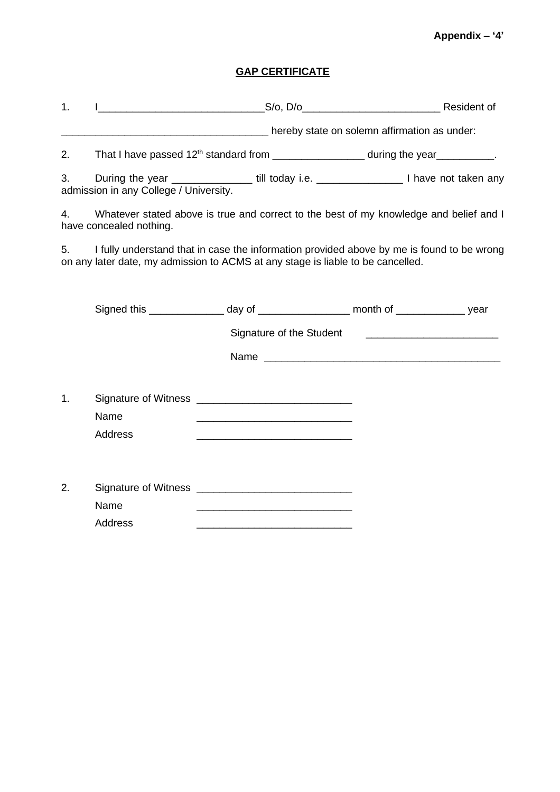## **Appendix – '4'**

# **GAP CERTIFICATE**

| 1. |                                        |                                                                                 |                                                                                                        |
|----|----------------------------------------|---------------------------------------------------------------------------------|--------------------------------------------------------------------------------------------------------|
|    |                                        | mereby state on solemn affirmation as under:                                    |                                                                                                        |
| 2. |                                        |                                                                                 | That I have passed 12 <sup>th</sup> standard from _____________________ during the year___________.    |
| 3. | admission in any College / University. |                                                                                 | During the year _____________________ till today i.e. ___________________________ I have not taken any |
| 4. | have concealed nothing.                |                                                                                 | Whatever stated above is true and correct to the best of my knowledge and belief and I                 |
| 5. |                                        | on any later date, my admission to ACMS at any stage is liable to be cancelled. | I fully understand that in case the information provided above by me is found to be wrong              |
|    |                                        |                                                                                 | Signed this ________________ day of __________________ month of _______________ year                   |
|    |                                        |                                                                                 |                                                                                                        |
|    |                                        |                                                                                 | Name                                                                                                   |
| 1. | Name<br>Address                        | <u> 1989 - Johann Barn, amerikansk politiker (d. 1989)</u>                      |                                                                                                        |
| 2. | Name<br><b>Address</b>                 |                                                                                 |                                                                                                        |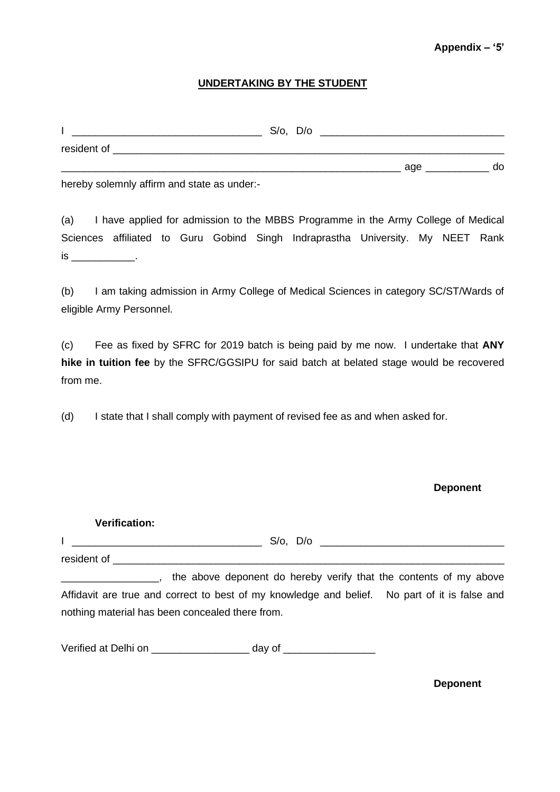#### **Appendix – '5'**

#### **UNDERTAKING BY THE STUDENT**

|             | $S/o$ , $D/o$ |     |    |
|-------------|---------------|-----|----|
| resident of |               |     |    |
|             |               | age | do |

hereby solemnly affirm and state as under:-

(a) I have applied for admission to the MBBS Programme in the Army College of Medical Sciences affiliated to Guru Gobind Singh Indraprastha University. My NEET Rank is \_\_\_\_\_\_\_\_\_\_\_.

(b) I am taking admission in Army College of Medical Sciences in category SC/ST/Wards of eligible Army Personnel.

(c) Fee as fixed by SFRC for 2019 batch is being paid by me now. I undertake that **ANY hike in tuition fee** by the SFRC/GGSIPU for said batch at belated stage would be recovered from me.

(d) I state that I shall comply with payment of revised fee as and when asked for.

#### **Deponent**

| <b>Verification:</b> |                                                                                                                                                                                                                                |  |
|----------------------|--------------------------------------------------------------------------------------------------------------------------------------------------------------------------------------------------------------------------------|--|
|                      |                                                                                                                                                                                                                                |  |
|                      | resident of the contract of the contract of the contract of the contract of the contract of the contract of the contract of the contract of the contract of the contract of the contract of the contract of the contract of th |  |
|                      | the above deponent do hereby verify that the contents of my above                                                                                                                                                              |  |
|                      | Affidavit are true and correct to best of my knowledge and belief. No part of it is false and                                                                                                                                  |  |
|                      | nothing material has been concealed there from.                                                                                                                                                                                |  |
|                      |                                                                                                                                                                                                                                |  |

Verified at Delhi on \_\_\_\_\_\_\_\_\_\_\_\_\_\_\_\_\_\_\_\_ day of \_\_\_\_\_\_\_\_\_\_\_\_\_\_\_\_\_\_\_\_\_\_\_\_\_\_\_\_\_\_\_

**Deponent**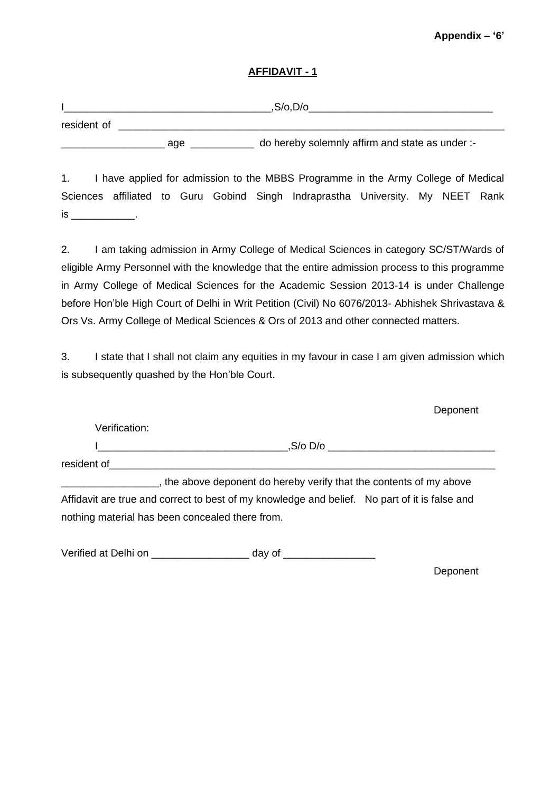#### **Appendix – '6'**

#### **AFFIDAVIT - 1**

|             |     | ,S/o,D/o                                        |
|-------------|-----|-------------------------------------------------|
| resident of |     |                                                 |
|             | age | do hereby solemnly affirm and state as under :- |

1. I have applied for admission to the MBBS Programme in the Army College of Medical Sciences affiliated to Guru Gobind Singh Indraprastha University. My NEET Rank is \_\_\_\_\_\_\_\_\_\_\_.

2. I am taking admission in Army College of Medical Sciences in category SC/ST/Wards of eligible Army Personnel with the knowledge that the entire admission process to this programme in Army College of Medical Sciences for the Academic Session 2013-14 is under Challenge before Hon'ble High Court of Delhi in Writ Petition (Civil) No 6076/2013- Abhishek Shrivastava & Ors Vs. Army College of Medical Sciences & Ors of 2013 and other connected matters.

3. I state that I shall not claim any equities in my favour in case I am given admission which is subsequently quashed by the Hon'ble Court.

|                                                 | Deponent                                                                                      |  |
|-------------------------------------------------|-----------------------------------------------------------------------------------------------|--|
| Verification:                                   |                                                                                               |  |
|                                                 | $.S/O$ $D/O$                                                                                  |  |
| resident of                                     |                                                                                               |  |
|                                                 | the above deponent do hereby verify that the contents of my above                             |  |
|                                                 | Affidavit are true and correct to best of my knowledge and belief. No part of it is false and |  |
| nothing material has been concealed there from. |                                                                                               |  |

Verified at Delhi on \_\_\_\_\_\_\_\_\_\_\_\_\_\_\_\_\_\_\_\_ day of \_\_\_\_\_\_\_\_\_\_\_\_\_\_\_\_\_\_\_\_\_\_\_\_\_\_\_\_\_\_\_

**Deponent**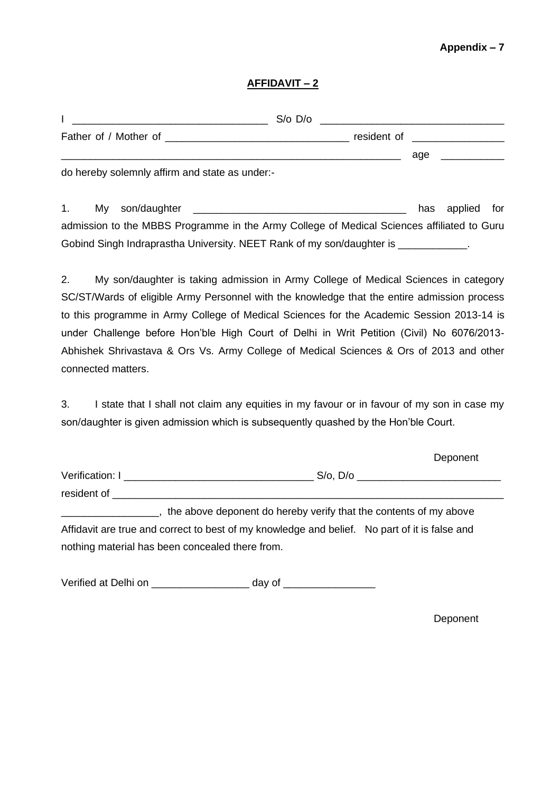#### **Appendix – 7**

#### **AFFIDAVIT – 2**

|    |                                                | $S$ /o $D$ /o | <u> 1980 - Andrea Andrew Maria (h. 1980).</u> |     |         |     |
|----|------------------------------------------------|---------------|-----------------------------------------------|-----|---------|-----|
|    |                                                |               | resident of ___________________               |     |         |     |
|    |                                                |               |                                               | age |         |     |
|    | do hereby solemnly affirm and state as under:- |               |                                               |     |         |     |
| 1. | son/daughter<br>My                             |               |                                               | has | applied | for |

admission to the MBBS Programme in the Army College of Medical Sciences affiliated to Guru Gobind Singh Indraprastha University. NEET Rank of my son/daughter is \_\_\_\_\_\_\_\_\_\_\_\_.

2. My son/daughter is taking admission in Army College of Medical Sciences in category SC/ST/Wards of eligible Army Personnel with the knowledge that the entire admission process to this programme in Army College of Medical Sciences for the Academic Session 2013-14 is under Challenge before Hon'ble High Court of Delhi in Writ Petition (Civil) No 6076/2013- Abhishek Shrivastava & Ors Vs. Army College of Medical Sciences & Ors of 2013 and other connected matters.

3. I state that I shall not claim any equities in my favour or in favour of my son in case my son/daughter is given admission which is subsequently quashed by the Hon'ble Court.

|                 | Deponent                                                          |  |
|-----------------|-------------------------------------------------------------------|--|
| Verification: I | $S$ /o, $D$ /o                                                    |  |
| resident of     |                                                                   |  |
|                 | the above deponent do hereby verify that the contents of my above |  |

Affidavit are true and correct to best of my knowledge and belief. No part of it is false and nothing material has been concealed there from.

Verified at Delhi on \_\_\_\_\_\_\_\_\_\_\_\_\_\_\_\_\_\_\_\_ day of \_\_\_\_\_\_\_\_\_\_\_\_\_\_\_\_\_\_\_\_\_\_\_\_\_\_\_\_\_\_\_

Deponent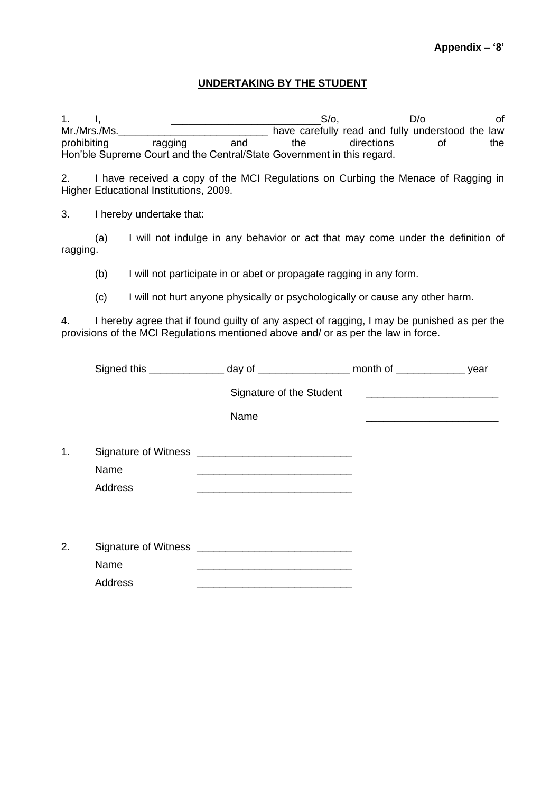#### **UNDERTAKING BY THE STUDENT**

1. I, \_\_\_\_\_\_\_\_\_\_\_\_\_\_\_\_\_\_\_\_\_\_\_\_\_\_S/o, D/o of Mr./Mrs./Ms.\_\_\_\_\_\_\_\_\_\_\_\_\_\_\_\_\_\_\_\_\_\_\_\_\_\_ have carefully read and fully understood the law prohibiting ragging and the directions of the Hon'ble Supreme Court and the Central/State Government in this regard.

2. I have received a copy of the MCI Regulations on Curbing the Menace of Ragging in Higher Educational Institutions, 2009.

3. I hereby undertake that:

|          |  |  |  |  |  |  | I will not indulge in any behavior or act that may come under the definition of |  |
|----------|--|--|--|--|--|--|---------------------------------------------------------------------------------|--|
| ragging. |  |  |  |  |  |  |                                                                                 |  |

(b) I will not participate in or abet or propagate ragging in any form.

(c) I will not hurt anyone physically or psychologically or cause any other harm.

4. I hereby agree that if found guilty of any aspect of ragging, I may be punished as per the provisions of the MCI Regulations mentioned above and/ or as per the law in force.

|    |                        | Signed this _________________ day of _____________________ month of _________________ year                            |                                               |  |
|----|------------------------|-----------------------------------------------------------------------------------------------------------------------|-----------------------------------------------|--|
|    |                        | Signature of the Student                                                                                              | <u> 1989 - Andrea Andrew Maria (h. 1989).</u> |  |
|    |                        | Name                                                                                                                  |                                               |  |
| 1. | Name<br>Address        | <u> 1989 - Johann Barbara, martin amerikan basal dan berasal dan berasal dalam basal dalam basal dalam basal dala</u> |                                               |  |
| 2. |                        | Signature of Witness <b>container and the Signature of Witness</b>                                                    |                                               |  |
|    | Name<br><b>Address</b> |                                                                                                                       |                                               |  |
|    |                        |                                                                                                                       |                                               |  |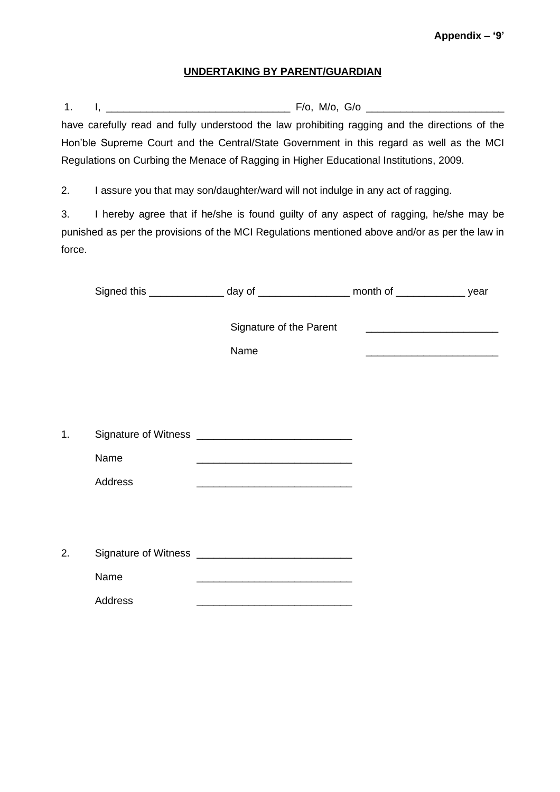#### **UNDERTAKING BY PARENT/GUARDIAN**

1. I, \_\_\_\_\_\_\_\_\_\_\_\_\_\_\_\_\_\_\_\_\_\_\_\_\_\_\_\_\_\_\_\_ F/o, M/o, G/o \_\_\_\_\_\_\_\_\_\_\_\_\_\_\_\_\_\_\_\_\_\_\_\_ have carefully read and fully understood the law prohibiting ragging and the directions of the Hon'ble Supreme Court and the Central/State Government in this regard as well as the MCI Regulations on Curbing the Menace of Ragging in Higher Educational Institutions, 2009.

2. I assure you that may son/daughter/ward will not indulge in any act of ragging.

3. I hereby agree that if he/she is found guilty of any aspect of ragging, he/she may be punished as per the provisions of the MCI Regulations mentioned above and/or as per the law in force.

|    |         | Signed this ________________ day of ___________________ month of _______________ year                                 |                                                                                                                      |  |
|----|---------|-----------------------------------------------------------------------------------------------------------------------|----------------------------------------------------------------------------------------------------------------------|--|
|    |         | Signature of the Parent<br>Name                                                                                       | <u> 1980 - Johann Barbara, martxa alemaniar argumento de la contrada de la contrada de la contrada de la contrad</u> |  |
|    |         |                                                                                                                       |                                                                                                                      |  |
| 1. |         | Signature of Witness <b>container and the Signature of Witness</b>                                                    |                                                                                                                      |  |
|    | Name    | <u> 1989 - Johann Harry Harry Harry Harry Harry Harry Harry Harry Harry Harry Harry Harry Harry Harry Harry Harry</u> |                                                                                                                      |  |
|    | Address |                                                                                                                       |                                                                                                                      |  |
|    |         |                                                                                                                       |                                                                                                                      |  |
| 2. |         | Signature of Witness <b>container and the Signature of Witness</b>                                                    |                                                                                                                      |  |
|    | Name    |                                                                                                                       |                                                                                                                      |  |
|    | Address |                                                                                                                       |                                                                                                                      |  |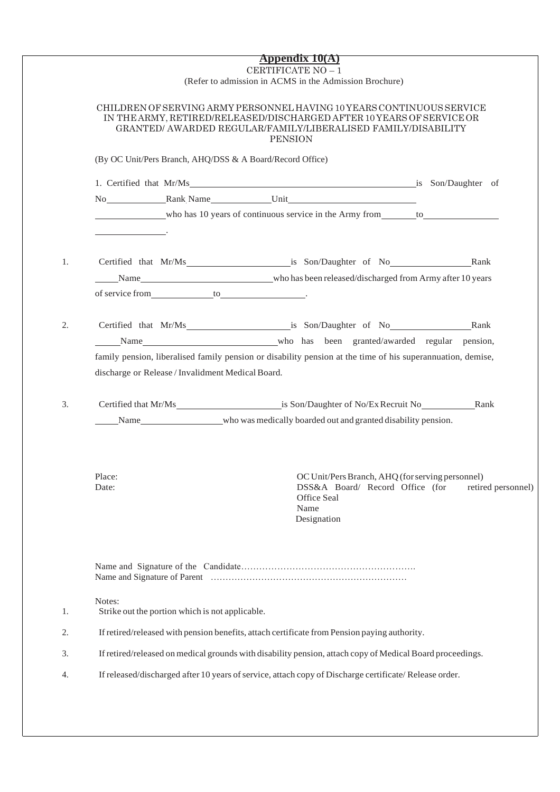|                                                           | <b>Appendix 10(A)</b>                                                                                                                                                                                                             |                    |
|-----------------------------------------------------------|-----------------------------------------------------------------------------------------------------------------------------------------------------------------------------------------------------------------------------------|--------------------|
|                                                           | CERTIFICATE NO - 1<br>(Refer to admission in ACMS in the Admission Brochure)                                                                                                                                                      |                    |
|                                                           | CHILDREN OF SERVING ARMY PERSONNEL HAVING 10 YEARS CONTINUOUS SERVICE<br>IN THE ARMY, RETIRED/RELEASED/DISCHARGED AFTER 10 YEARS OF SERVICE OR<br>GRANTED/ AWARDED REGULAR/FAMILY/LIBERALISED FAMILY/DISABILITY<br><b>PENSION</b> |                    |
| (By OC Unit/Pers Branch, AHQ/DSS & A Board/Record Office) |                                                                                                                                                                                                                                   |                    |
|                                                           | 1. Certified that Mr/Ms is Son/Daughter of                                                                                                                                                                                        |                    |
|                                                           | No Rank Name Unit                                                                                                                                                                                                                 |                    |
|                                                           | who has 10 years of continuous service in the Army from to the to the service in the Army from the service in the Army from the service in the Army from the service in the Army from the service in the Army from the service    |                    |
| <u> 1989 - Johann Barnett, fransk politiker (</u> † 1920) |                                                                                                                                                                                                                                   |                    |
|                                                           |                                                                                                                                                                                                                                   |                    |
|                                                           | Name Manne Manne Manne Manne Manne Manne Manne Manne Manne Manne Manne Manne Manne Manne Manne Manne Manne Manne Manne Manne Manne Manne Manne Manne Manne Manne Manne Manne Manne Manne Manne Manne Manne Manne Manne Manne M    |                    |
|                                                           |                                                                                                                                                                                                                                   |                    |
|                                                           |                                                                                                                                                                                                                                   |                    |
|                                                           |                                                                                                                                                                                                                                   |                    |
|                                                           | Certified that Mr/Ms is Son/Daughter of No Rank                                                                                                                                                                                   |                    |
|                                                           | Name who has been granted/awarded regular pension,                                                                                                                                                                                |                    |
|                                                           | family pension, liberalised family pension or disability pension at the time of his superannuation, demise,                                                                                                                       |                    |
| discharge or Release / Invalidment Medical Board.         |                                                                                                                                                                                                                                   |                    |
|                                                           | Certified that Mr/Ms is Son/Daughter of No/Ex Recruit No Rank                                                                                                                                                                     |                    |
|                                                           | Name who was medically boarded out and granted disability pension.                                                                                                                                                                |                    |
|                                                           |                                                                                                                                                                                                                                   |                    |
|                                                           |                                                                                                                                                                                                                                   |                    |
| Place:<br>Date:                                           | OC Unit/Pers Branch, AHQ (for serving personnel)<br>DSS&A Board/ Record Office (for                                                                                                                                               | retired personnel) |
|                                                           | Office Seal                                                                                                                                                                                                                       |                    |
|                                                           | Name<br>Designation                                                                                                                                                                                                               |                    |
|                                                           |                                                                                                                                                                                                                                   |                    |
|                                                           |                                                                                                                                                                                                                                   |                    |
| Notes:<br>Strike out the portion which is not applicable. |                                                                                                                                                                                                                                   |                    |
|                                                           | If retired/released with pension benefits, attach certificate from Pension paying authority.                                                                                                                                      |                    |
|                                                           | If retired/released on medical grounds with disability pension, attach copy of Medical Board proceedings.                                                                                                                         |                    |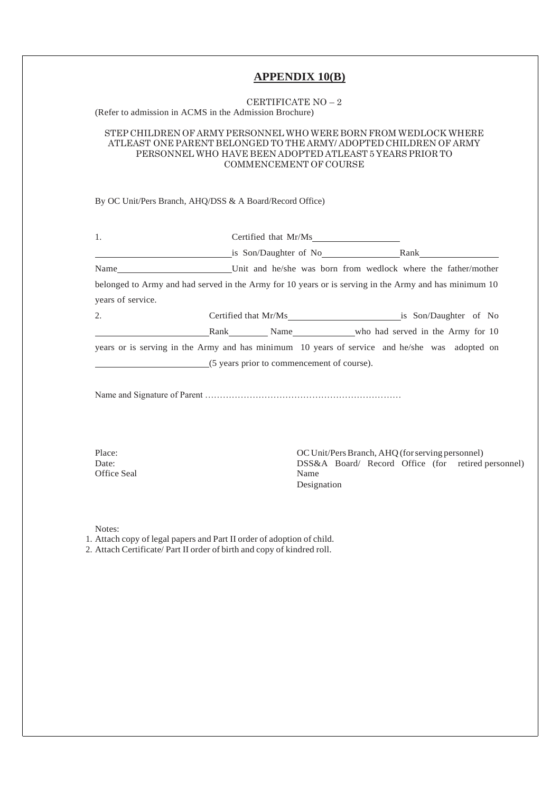#### **APPENDIX 10(B)**

# CERTIFICATE NO – 2

(Refer to admission in ACMS in the Admission Brochure)

#### STEP CHILDREN OF ARMY PERSONNEL WHO WERE BORN FROM WEDLOCK WHERE ATLEAST ONE PARENT BELONGED TO THE ARMY/ ADOPTED CHILDREN OF ARMY PERSONNEL WHO HAVE BEEN ADOPTED ATLEAST 5 YEARS PRIOR TO COMMENCEMENT OF COURSE

By OC Unit/Pers Branch, AHQ/DSS & A Board/Record Office)

| 1.                                                                                                                                                | Certified that Mr/Ms |                                                    |  |
|---------------------------------------------------------------------------------------------------------------------------------------------------|----------------------|----------------------------------------------------|--|
|                                                                                                                                                   |                      | is Son/Daughter of No Rank Rank                    |  |
| Name__________________________Unit and he/she was born from wedlock where the father/mother                                                       |                      |                                                    |  |
| belonged to Army and had served in the Army for 10 years or is serving in the Army and has minimum 10                                             |                      |                                                    |  |
| years of service.                                                                                                                                 |                      |                                                    |  |
| 2.                                                                                                                                                |                      |                                                    |  |
|                                                                                                                                                   |                      | Rank Name Name who had served in the Army for 10   |  |
| years or is serving in the Army and has minimum 10 years of service and he/she was adopted on                                                     |                      |                                                    |  |
| (5 years prior to commencement of course).                                                                                                        |                      |                                                    |  |
|                                                                                                                                                   |                      |                                                    |  |
| Place:                                                                                                                                            |                      | OC Unit/Pers Branch, AHQ (for serving personnel)   |  |
| Date:<br>Office Seal                                                                                                                              | Name                 | DSS&A Board/ Record Office (for retired personnel) |  |
|                                                                                                                                                   | Designation          |                                                    |  |
|                                                                                                                                                   |                      |                                                    |  |
| Notes:                                                                                                                                            |                      |                                                    |  |
| 1. Attach copy of legal papers and Part II order of adoption of child.<br>2. Attach Certificate/ Part II order of birth and copy of kindred roll. |                      |                                                    |  |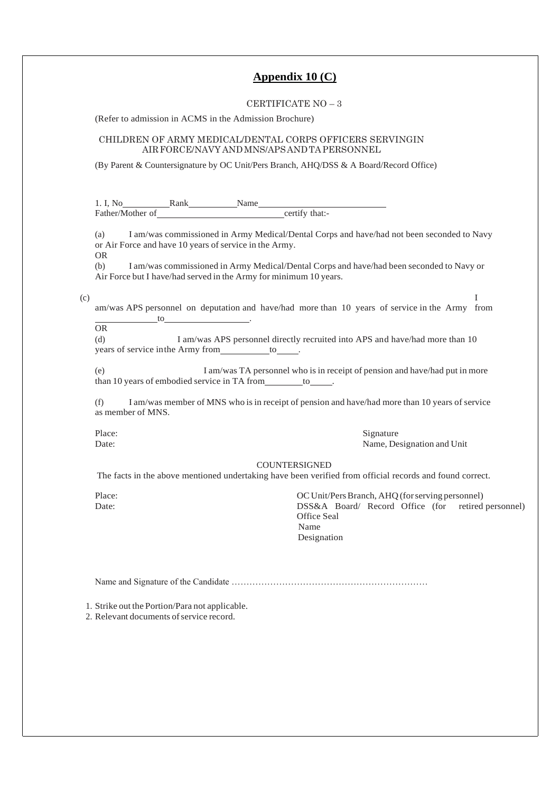#### **Appendix 10 (C)**

#### CERTIFICATE NO – 3

(Refer to admission in ACMS in the Admission Brochure)

#### CHILDREN OF ARMY MEDICAL/DENTAL CORPS OFFICERS SERVINGIN AIRFORCE/NAVY ANDMNS/APSANDTAPERSONNEL

(By Parent & Countersignature by OC Unit/Pers Branch, AHQ/DSS & A Board/Record Office)

| 1. I, No         | Rank | Name |                |  |
|------------------|------|------|----------------|--|
| Father/Mother of |      |      | certify that:- |  |

(a) I am/was commissioned in Army Medical/Dental Corps and have/had not been seconded to Navy or Air Force and have 10 years of service in the Army.

OR

(b) I am/was commissioned in Army Medical/Dental Corps and have/had been seconded to Navy or Air Force but I have/had served in the Army for minimum 10 years.

 $\qquad \qquad \text{I}$ 

| am/was APS personnel on deputation and have/had more than 10 years of service in the Army from |  |  |  |  |  |
|------------------------------------------------------------------------------------------------|--|--|--|--|--|
|                                                                                                |  |  |  |  |  |

OR

(d) I am/was APS personnel directly recruited into APS and have/had more than 10 years of service in the Army from \_\_\_\_\_\_\_\_\_ to\_

(e) I am/was TA personnel who is in receipt of pension and have/had put in more than 10 years of embodied service in TA from  $\qquad \qquad$  to  $\qquad \qquad$ .

(f) I am/was member of MNS who isin receipt of pension and have/had more than 10 years of service as member of MNS.

Place: Signature Date: Signature Date: Signature Date: Signature Date: Signature Date: Signature Date: Name. De Name, Designation and Unit

#### **COUNTERSIGNED**

The facts in the above mentioned undertaking have been verified from official records and found correct.

Place:  $\overline{OC}$  Unit/Pers Branch, AHQ (for serving personnel)<br>Date:  $DSS&A$  Board/ Record Office (for retired DSS&A Board/ Record Office (for retired personnel) Office Seal Name Designation

Name and Signature of the Candidate …………………………………………………………

1. Strike out the Portion/Para not applicable.

2. Relevant documents of service record.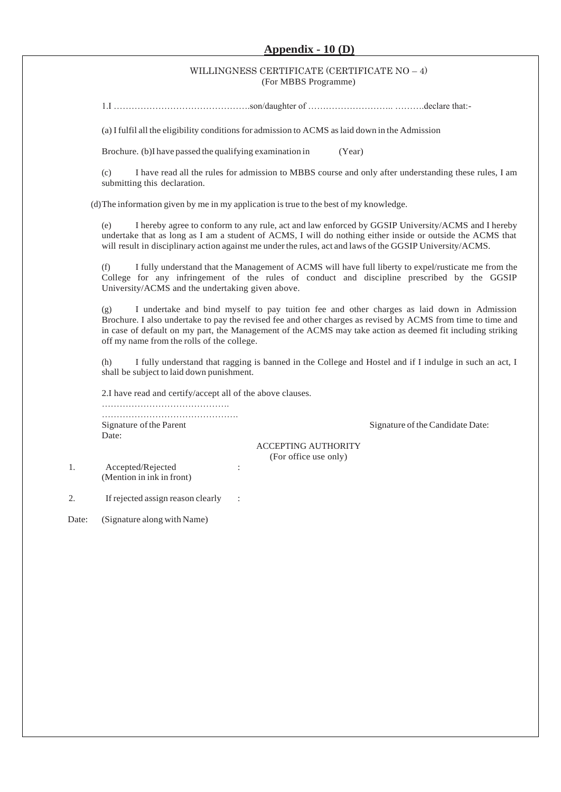#### **Appendix - 10 (D)**

#### WILLINGNESS CERTIFICATE (CERTIFICATE NO – 4) (For MBBS Programme)

1.I ……………………………………….son/daughter of ……………………….. ……….declare that:-

(a) I fulfil all the eligibility conditions for admission to ACMS aslaid down in the Admission

Brochure. (b)I have passed the qualifying examination in (Year)

(c) I have read all the rules for admission to MBBS course and only after understanding these rules, I am submitting this declaration.

(d)The information given by me in my application istrue to the best of my knowledge.

(e) I hereby agree to conform to any rule, act and law enforced by GGSIP University/ACMS and I hereby undertake that as long as I am a student of ACMS, I will do nothing either inside or outside the ACMS that will result in disciplinary action against me under the rules, act and laws of the GGSIP University/ACMS.

(f) I fully understand that the Management of ACMS will have full liberty to expel/rusticate me from the College for any infringement of the rules of conduct and discipline prescribed by the GGSIP University/ACMS and the undertaking given above.

(g) I undertake and bind myself to pay tuition fee and other charges as laid down in Admission Brochure. I also undertake to pay the revised fee and other charges as revised by ACMS from time to time and in case of default on my part, the Management of the ACMS may take action as deemed fit including striking off my name from the rolls of the college.

(h) I fully understand that ragging is banned in the College and Hostel and if I indulge in such an act, I shall be subject to laid down punishment.

2.I have read and certify/accept all of the above clauses.

……………………………………. ………………………………………. Signature of the Parent Signature of the Candidate Date: Date:

ACCEPTING AUTHORITY (For office use only)

1. Accepted/Rejected : (Mention in ink in front)

2. If rejected assign reason clearly :

Date: (Signature along with Name)